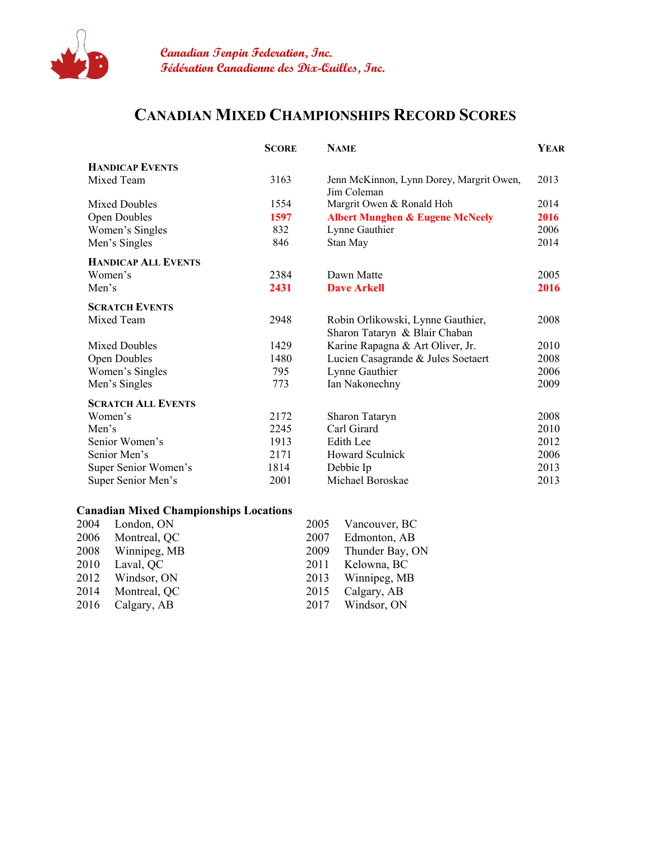

## **CANADIAN MIXED CHAMPIONSHIPS RECORD SCORES**

|                            | <b>SCORE</b> | <b>NAME</b>                                                        | <b>YEAR</b> |
|----------------------------|--------------|--------------------------------------------------------------------|-------------|
| <b>HANDICAP EVENTS</b>     |              |                                                                    |             |
| Mixed Team                 | 3163         | Jenn McKinnon, Lynn Dorey, Margrit Owen,<br>Jim Coleman            | 2013        |
| <b>Mixed Doubles</b>       | 1554         | Margrit Owen & Ronald Hoh                                          | 2014        |
| <b>Open Doubles</b>        | 1597         | <b>Albert Munghen &amp; Eugene McNeely</b>                         |             |
| Women's Singles            | 832          | Lynne Gauthier                                                     |             |
| Men's Singles              | 846          | Stan May                                                           | 2014        |
| <b>HANDICAP ALL EVENTS</b> |              |                                                                    |             |
| Women's                    | 2384         | Dawn Matte                                                         | 2005        |
| Men's                      | 2431         | <b>Dave Arkell</b>                                                 | 2016        |
| <b>SCRATCH EVENTS</b>      |              |                                                                    |             |
| Mixed Team                 | 2948         | Robin Orlikowski, Lynne Gauthier,<br>Sharon Tataryn & Blair Chaban | 2008        |
| <b>Mixed Doubles</b>       | 1429         | Karine Rapagna & Art Oliver, Jr.                                   | 2010        |
| Open Doubles               | 1480         | Lucien Casagrande & Jules Soetaert                                 |             |
| Women's Singles            | 795          | Lynne Gauthier                                                     |             |
| Men's Singles              | 773          | Ian Nakonechny                                                     |             |
| <b>SCRATCH ALL EVENTS</b>  |              |                                                                    |             |
| Women's                    | 2172         | Sharon Tataryn                                                     | 2008        |
| Men's                      | 2245         | Carl Girard                                                        | 2010        |
| Senior Women's             | 1913         | Edith Lee                                                          | 2012        |
| Senior Men's               | 2171         | <b>Howard Sculnick</b>                                             | 2006        |
| Super Senior Women's       | 1814         | 2013<br>Debbie Ip                                                  |             |
| Super Senior Men's         | 2001         | Michael Boroskae                                                   | 2013        |

## **Canadian Mixed Championships Locations**

|      | 2004 London, ON   | 2005 | Vancouver, BC        |
|------|-------------------|------|----------------------|
|      | 2006 Montreal, QC |      | 2007 Edmonton, AB    |
|      | 2008 Winnipeg, MB |      | 2009 Thunder Bay, ON |
|      | 2010 Laval, QC    | 2011 | Kelowna, BC          |
|      | 2012 Windsor, ON  |      | 2013 Winnipeg, MB    |
|      | 2014 Montreal, QC | 2015 | Calgary, AB          |
| 2016 | Calgary, AB       |      | 2017 Windsor, ON     |